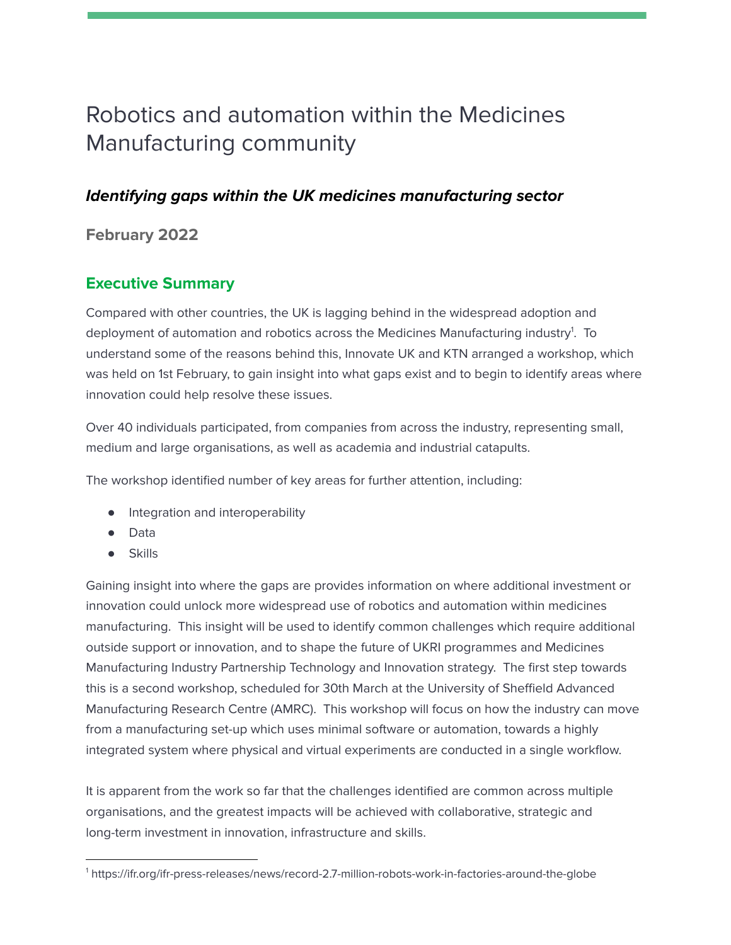# Robotics and automation within the Medicines Manufacturing community

# **Identifying gaps within the UK medicines manufacturing sector**

**February 2022**

# **Executive Summary**

Compared with other countries, the UK is lagging behind in the widespread adoption and deployment of automation and robotics across the Medicines Manufacturing industry<sup>1</sup>. To understand some of the reasons behind this, Innovate UK and KTN arranged a workshop, which was held on 1st February, to gain insight into what gaps exist and to begin to identify areas where innovation could help resolve these issues.

Over 40 individuals participated, from companies from across the industry, representing small, medium and large organisations, as well as academia and industrial catapults.

The workshop identified number of key areas for further attention, including:

- **•** Integration and interoperability
- Data
- Skills

Gaining insight into where the gaps are provides information on where additional investment or innovation could unlock more widespread use of robotics and automation within medicines manufacturing. This insight will be used to identify common challenges which require additional outside support or innovation, and to shape the future of UKRI programmes and Medicines Manufacturing Industry Partnership Technology and Innovation strategy. The first step towards this is a second workshop, scheduled for 30th March at the University of Sheffield Advanced Manufacturing Research Centre (AMRC). This workshop will focus on how the industry can move from a manufacturing set-up which uses minimal software or automation, towards a highly integrated system where physical and virtual experiments are conducted in a single workflow.

It is apparent from the work so far that the challenges identified are common across multiple organisations, and the greatest impacts will be achieved with collaborative, strategic and long-term investment in innovation, infrastructure and skills.

<sup>1</sup> https://ifr.org/ifr-press-releases/news/record-2.7-million-robots-work-in-factories-around-the-globe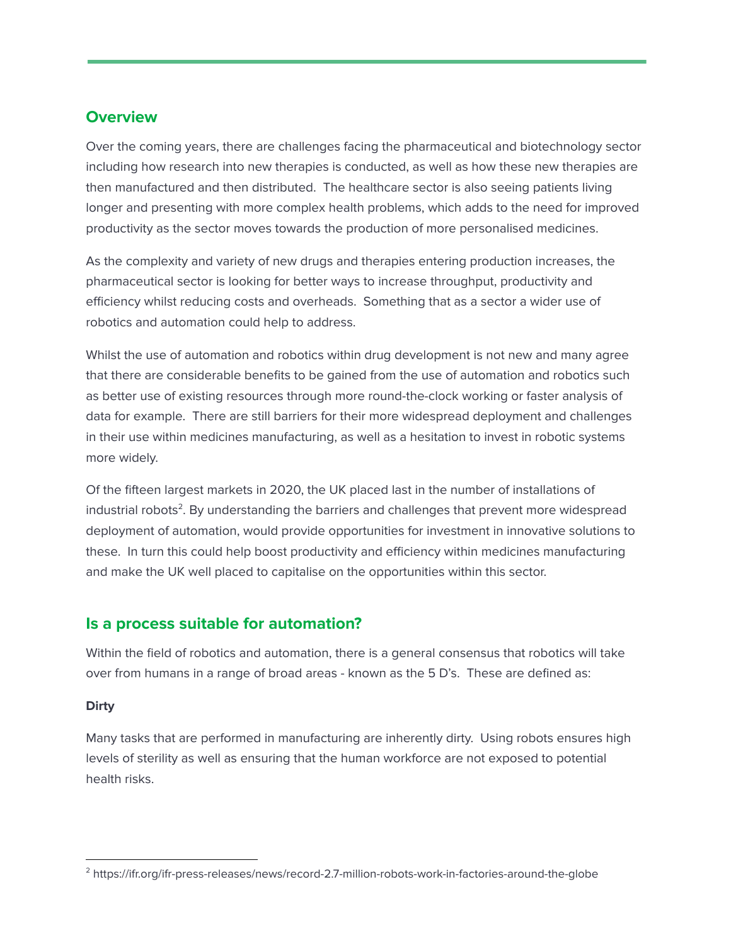# **Overview**

Over the coming years, there are challenges facing the pharmaceutical and biotechnology sector including how research into new therapies is conducted, as well as how these new therapies are then manufactured and then distributed. The healthcare sector is also seeing patients living longer and presenting with more complex health problems, which adds to the need for improved productivity as the sector moves towards the production of more personalised medicines.

As the complexity and variety of new drugs and therapies entering production increases, the pharmaceutical sector is looking for better ways to increase throughput, productivity and efficiency whilst reducing costs and overheads. Something that as a sector a wider use of robotics and automation could help to address.

Whilst the use of automation and robotics within drug development is not new and many agree that there are considerable benefits to be gained from the use of automation and robotics such as better use of existing resources through more round-the-clock working or faster analysis of data for example. There are still barriers for their more widespread deployment and challenges in their use within medicines manufacturing, as well as a hesitation to invest in robotic systems more widely.

Of the fifteen largest markets in 2020, the UK placed last in the number of installations of industrial robots<sup>2</sup>. By understanding the barriers and challenges that prevent more widespread deployment of automation, would provide opportunities for investment in innovative solutions to these. In turn this could help boost productivity and efficiency within medicines manufacturing and make the UK well placed to capitalise on the opportunities within this sector.

### **Is a process suitable for automation?**

Within the field of robotics and automation, there is a general consensus that robotics will take over from humans in a range of broad areas - known as the 5 D's. These are defined as:

#### **Dirty**

Many tasks that are performed in manufacturing are inherently dirty. Using robots ensures high levels of sterility as well as ensuring that the human workforce are not exposed to potential health risks.

<sup>2</sup> https://ifr.org/ifr-press-releases/news/record-2.7-million-robots-work-in-factories-around-the-globe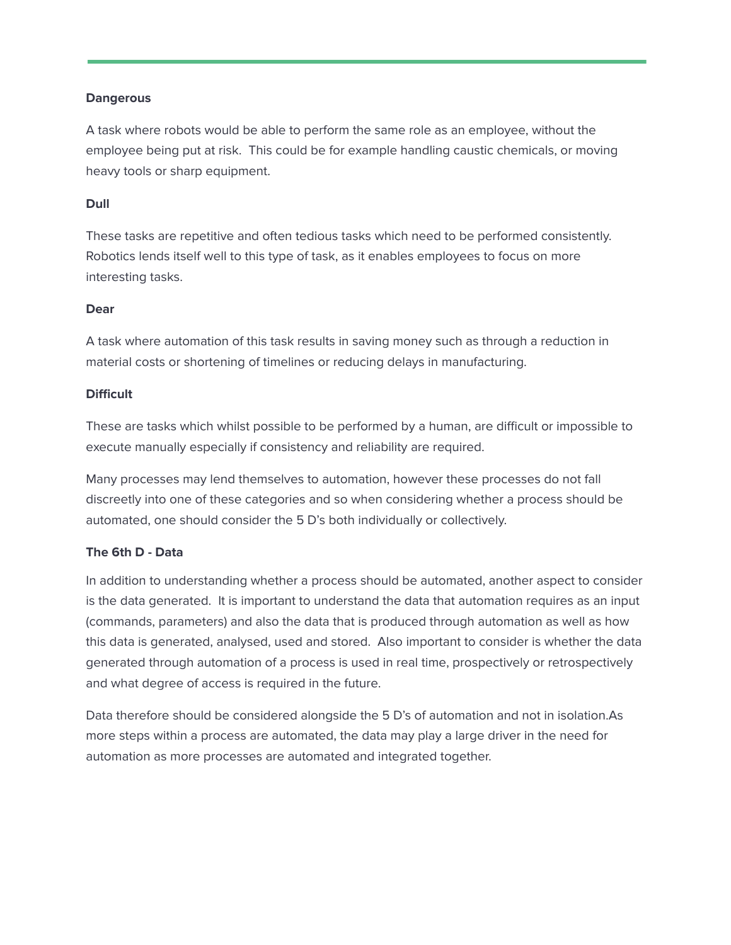#### **Dangerous**

A task where robots would be able to perform the same role as an employee, without the employee being put at risk. This could be for example handling caustic chemicals, or moving heavy tools or sharp equipment.

#### **Dull**

These tasks are repetitive and often tedious tasks which need to be performed consistently. Robotics lends itself well to this type of task, as it enables employees to focus on more interesting tasks.

#### **Dear**

A task where automation of this task results in saving money such as through a reduction in material costs or shortening of timelines or reducing delays in manufacturing.

#### **Difficult**

These are tasks which whilst possible to be performed by a human, are difficult or impossible to execute manually especially if consistency and reliability are required.

Many processes may lend themselves to automation, however these processes do not fall discreetly into one of these categories and so when considering whether a process should be automated, one should consider the 5 D's both individually or collectively.

#### **The 6th D - Data**

In addition to understanding whether a process should be automated, another aspect to consider is the data generated. It is important to understand the data that automation requires as an input (commands, parameters) and also the data that is produced through automation as well as how this data is generated, analysed, used and stored. Also important to consider is whether the data generated through automation of a process is used in real time, prospectively or retrospectively and what degree of access is required in the future.

Data therefore should be considered alongside the 5 D's of automation and not in isolation.As more steps within a process are automated, the data may play a large driver in the need for automation as more processes are automated and integrated together.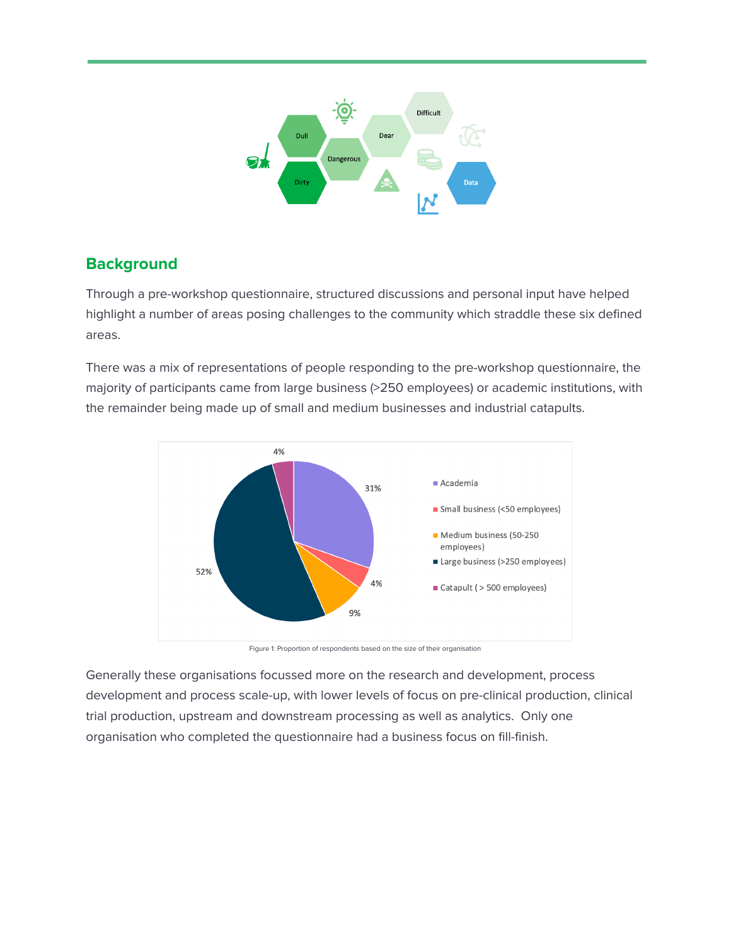

### **Background**

Through a pre-workshop questionnaire, structured discussions and personal input have helped highlight a number of areas posing challenges to the community which straddle these six defined areas.

There was a mix of representations of people responding to the pre-workshop questionnaire, the majority of participants came from large business (>250 employees) or academic institutions, with the remainder being made up of small and medium businesses and industrial catapults.



Figure 1: Proportion of respondents based on the size of their organisation

Generally these organisations focussed more on the research and development, process development and process scale-up, with lower levels of focus on pre-clinical production, clinical trial production, upstream and downstream processing as well as analytics. Only one organisation who completed the questionnaire had a business focus on fill-finish.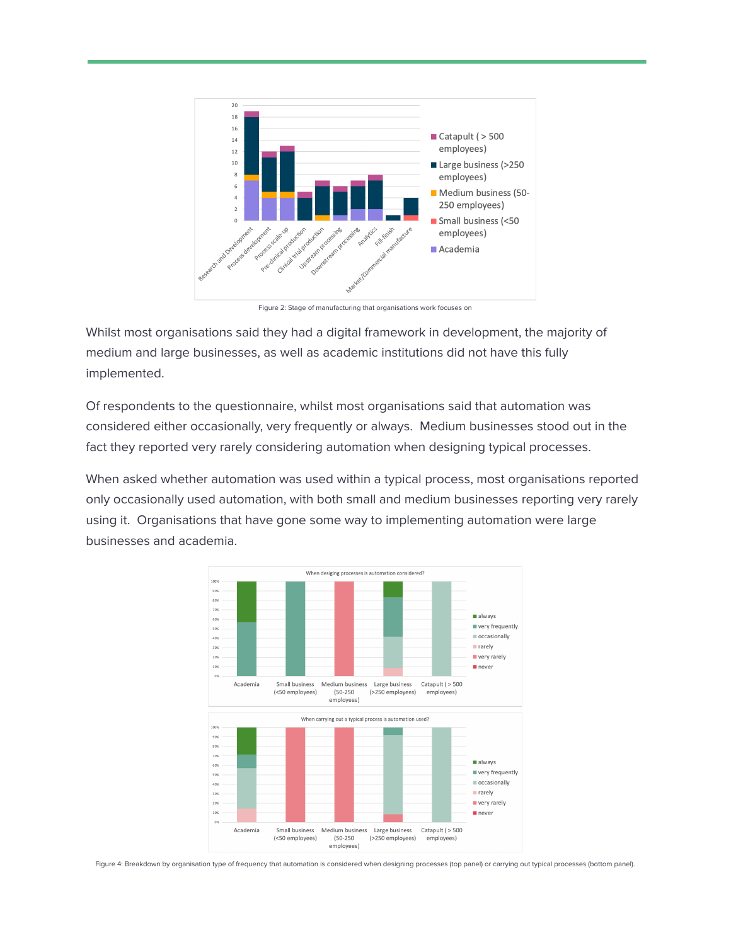

Figure 2: Stage of manufacturing that organisations work focuses on

Whilst most organisations said they had a digital framework in development, the majority of medium and large businesses, as well as academic institutions did not have this fully implemented.

Of respondents to the questionnaire, whilst most organisations said that automation was considered either occasionally, very frequently or always. Medium businesses stood out in the fact they reported very rarely considering automation when designing typical processes.

When asked whether automation was used within a typical process, most organisations reported only occasionally used automation, with both small and medium businesses reporting very rarely using it. Organisations that have gone some way to implementing automation were large businesses and academia.



Figure 4: Breakdown by organisation type of frequency that automation is considered when designing processes (top panel) or carrying out typical processes (bottom panel).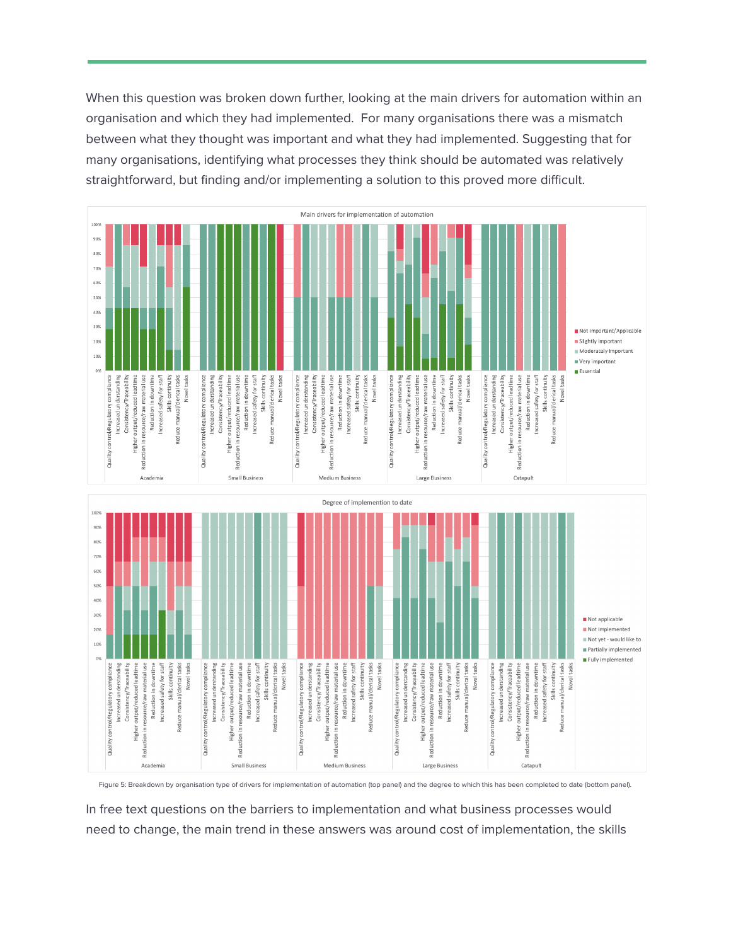When this question was broken down further, looking at the main drivers for automation within an organisation and which they had implemented. For many organisations there was a mismatch between what they thought was important and what they had implemented. Suggesting that for many organisations, identifying what processes they think should be automated was relatively straightforward, but finding and/or implementing a solution to this proved more difficult.



Figure 5: Breakdown by organisation type of drivers for implementation of automation (top panel) and the degree to which this has been completed to date (bottom panel).

In free text questions on the barriers to implementation and what business processes would need to change, the main trend in these answers was around cost of implementation, the skills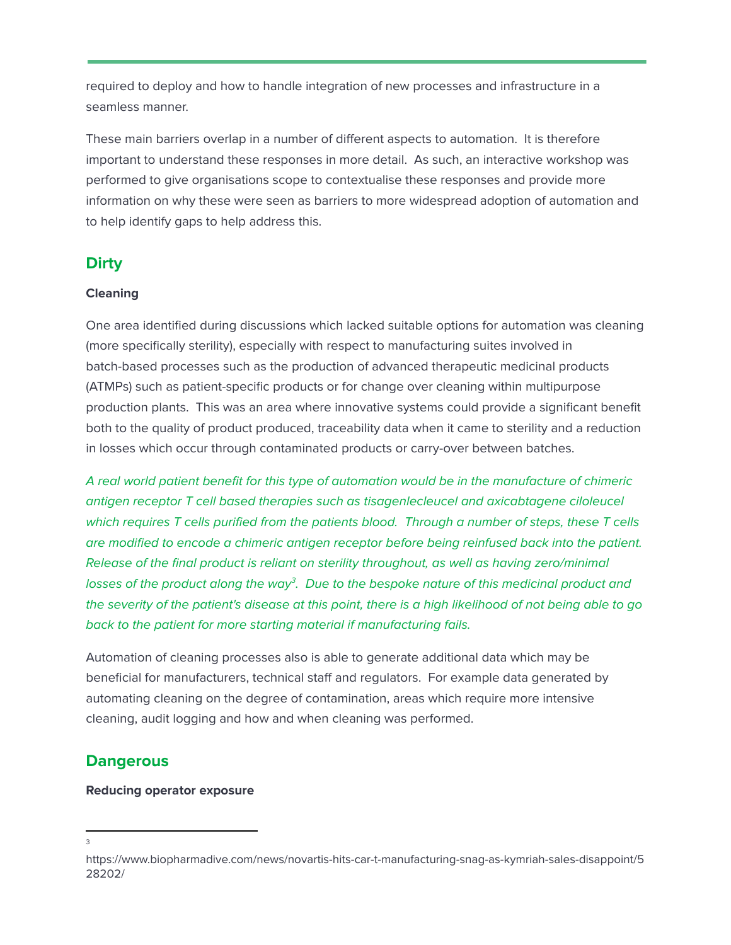required to deploy and how to handle integration of new processes and infrastructure in a seamless manner.

These main barriers overlap in a number of different aspects to automation. It is therefore important to understand these responses in more detail. As such, an interactive workshop was performed to give organisations scope to contextualise these responses and provide more information on why these were seen as barriers to more widespread adoption of automation and to help identify gaps to help address this.

# **Dirty**

#### **Cleaning**

One area identified during discussions which lacked suitable options for automation was cleaning (more specifically sterility), especially with respect to manufacturing suites involved in batch-based processes such as the production of advanced therapeutic medicinal products (ATMPs) such as patient-specific products or for change over cleaning within multipurpose production plants. This was an area where innovative systems could provide a significant benefit both to the quality of product produced, traceability data when it came to sterility and a reduction in losses which occur through contaminated products or carry-over between batches.

A real world patient benefit for this type of automation would be in the manufacture of chimeric antigen receptor T cell based therapies such as tisagenlecleucel and axicabtagene ciloleucel which requires T cells purified from the patients blood. Through a number of steps, these T cells are modified to encode a chimeric antigen receptor before being reinfused back into the patient. Release of the final product is reliant on sterility throughout, as well as having zero/minimal losses of the product along the way<sup>3</sup>. Due to the bespoke nature of this medicinal product and the severity of the patient's disease at this point, there is a high likelihood of not being able to go back to the patient for more starting material if manufacturing fails.

Automation of cleaning processes also is able to generate additional data which may be beneficial for manufacturers, technical staff and regulators. For example data generated by automating cleaning on the degree of contamination, areas which require more intensive cleaning, audit logging and how and when cleaning was performed.

# **Dangerous**

#### **Reducing operator exposure**

<sup>3</sup>

https://www.biopharmadive.com/news/novartis-hits-car-t-manufacturing-snag-as-kymriah-sales-disappoint/5 28202/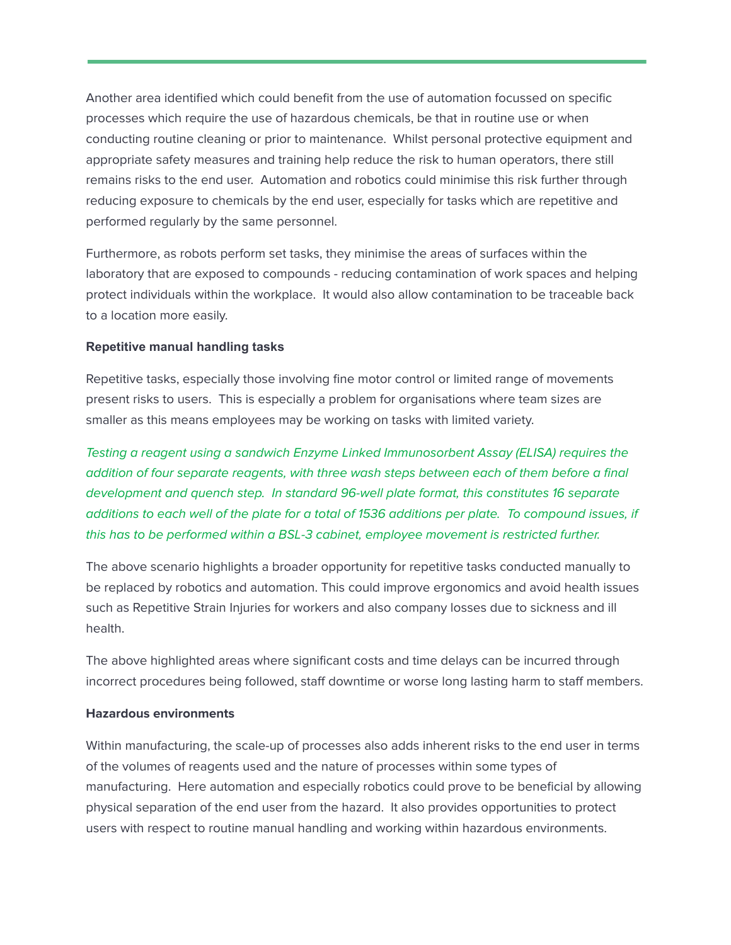Another area identified which could benefit from the use of automation focussed on specific processes which require the use of hazardous chemicals, be that in routine use or when conducting routine cleaning or prior to maintenance. Whilst personal protective equipment and appropriate safety measures and training help reduce the risk to human operators, there still remains risks to the end user. Automation and robotics could minimise this risk further through reducing exposure to chemicals by the end user, especially for tasks which are repetitive and performed regularly by the same personnel.

Furthermore, as robots perform set tasks, they minimise the areas of surfaces within the laboratory that are exposed to compounds - reducing contamination of work spaces and helping protect individuals within the workplace. It would also allow contamination to be traceable back to a location more easily.

#### **Repetitive manual handling tasks**

Repetitive tasks, especially those involving fine motor control or limited range of movements present risks to users. This is especially a problem for organisations where team sizes are smaller as this means employees may be working on tasks with limited variety.

Testing a reagent using a sandwich Enzyme Linked Immunosorbent Assay (ELISA) requires the addition of four separate reagents, with three wash steps between each of them before a final development and quench step. In standard 96-well plate format, this constitutes 16 separate additions to each well of the plate for a total of 1536 additions per plate. To compound issues, if this has to be performed within a BSL-3 cabinet, employee movement is restricted further.

The above scenario highlights a broader opportunity for repetitive tasks conducted manually to be replaced by robotics and automation. This could improve ergonomics and avoid health issues such as Repetitive Strain Injuries for workers and also company losses due to sickness and ill health.

The above highlighted areas where significant costs and time delays can be incurred through incorrect procedures being followed, staff downtime or worse long lasting harm to staff members.

#### **Hazardous environments**

Within manufacturing, the scale-up of processes also adds inherent risks to the end user in terms of the volumes of reagents used and the nature of processes within some types of manufacturing. Here automation and especially robotics could prove to be beneficial by allowing physical separation of the end user from the hazard. It also provides opportunities to protect users with respect to routine manual handling and working within hazardous environments.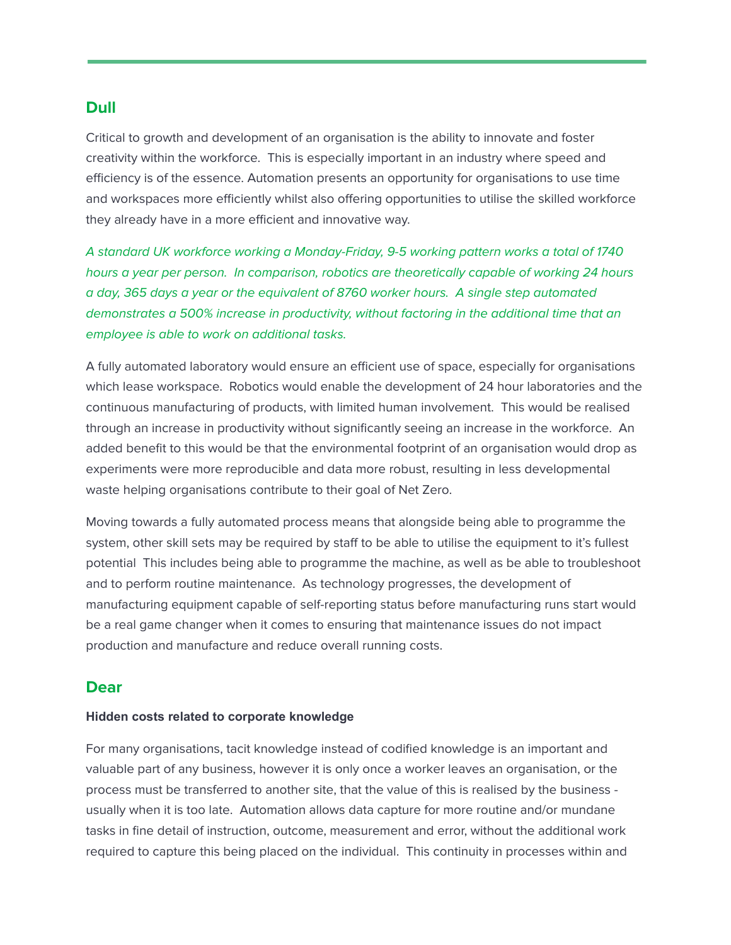### **Dull**

Critical to growth and development of an organisation is the ability to innovate and foster creativity within the workforce. This is especially important in an industry where speed and efficiency is of the essence. Automation presents an opportunity for organisations to use time and workspaces more efficiently whilst also offering opportunities to utilise the skilled workforce they already have in a more efficient and innovative way.

A standard UK workforce working a Monday-Friday, 9-5 working pattern works a total of 1740 hours a year per person. In comparison, robotics are theoretically capable of working 24 hours a day, 365 days a year or the equivalent of 8760 worker hours. A single step automated demonstrates a 500% increase in productivity, without factoring in the additional time that an employee is able to work on additional tasks.

A fully automated laboratory would ensure an efficient use of space, especially for organisations which lease workspace. Robotics would enable the development of 24 hour laboratories and the continuous manufacturing of products, with limited human involvement. This would be realised through an increase in productivity without significantly seeing an increase in the workforce. An added benefit to this would be that the environmental footprint of an organisation would drop as experiments were more reproducible and data more robust, resulting in less developmental waste helping organisations contribute to their goal of Net Zero.

Moving towards a fully automated process means that alongside being able to programme the system, other skill sets may be required by staff to be able to utilise the equipment to it's fullest potential This includes being able to programme the machine, as well as be able to troubleshoot and to perform routine maintenance. As technology progresses, the development of manufacturing equipment capable of self-reporting status before manufacturing runs start would be a real game changer when it comes to ensuring that maintenance issues do not impact production and manufacture and reduce overall running costs.

#### **Dear**

#### **Hidden costs related to corporate knowledge**

For many organisations, tacit knowledge instead of codified knowledge is an important and valuable part of any business, however it is only once a worker leaves an organisation, or the process must be transferred to another site, that the value of this is realised by the business usually when it is too late. Automation allows data capture for more routine and/or mundane tasks in fine detail of instruction, outcome, measurement and error, without the additional work required to capture this being placed on the individual. This continuity in processes within and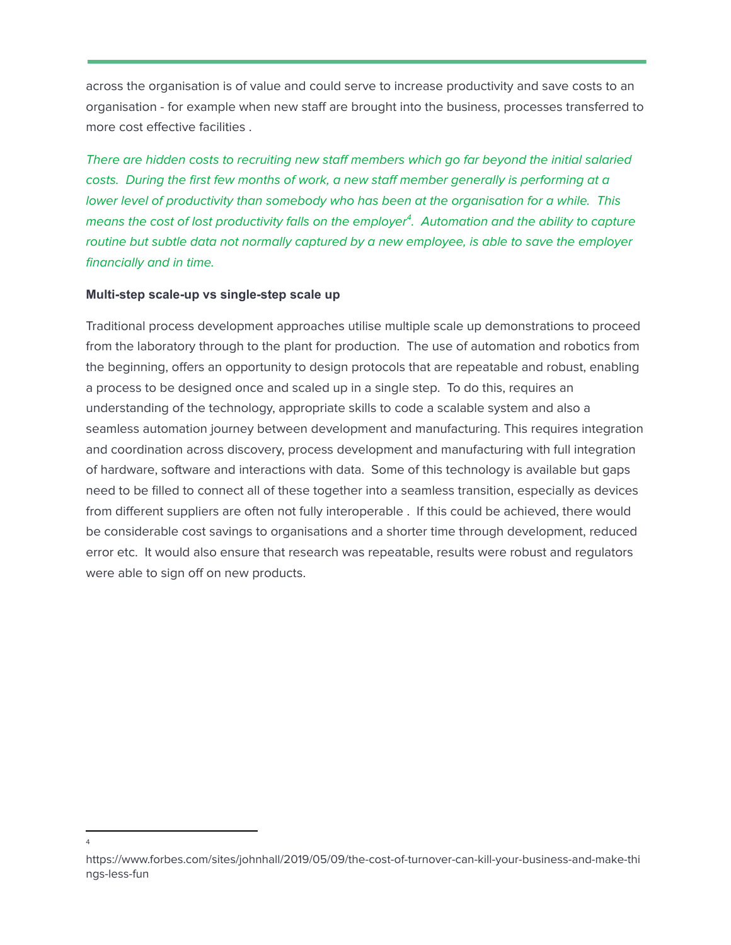across the organisation is of value and could serve to increase productivity and save costs to an organisation - for example when new staff are brought into the business, processes transferred to more cost effective facilities .

There are hidden costs to recruiting new staff members which go far beyond the initial salaried costs. During the first few months of work, a new staff member generally is performing at a lower level of productivity than somebody who has been at the organisation for a while. This means the cost of lost productivity falls on the employer $\!A$ . Automation and the ability to capture routine but subtle data not normally captured by a new employee, is able to save the employer financially and in time.

#### **Multi-step scale-up vs single-step scale up**

4

Traditional process development approaches utilise multiple scale up demonstrations to proceed from the laboratory through to the plant for production. The use of automation and robotics from the beginning, offers an opportunity to design protocols that are repeatable and robust, enabling a process to be designed once and scaled up in a single step. To do this, requires an understanding of the technology, appropriate skills to code a scalable system and also a seamless automation journey between development and manufacturing. This requires integration and coordination across discovery, process development and manufacturing with full integration of hardware, software and interactions with data. Some of this technology is available but gaps need to be filled to connect all of these together into a seamless transition, especially as devices from different suppliers are often not fully interoperable . If this could be achieved, there would be considerable cost savings to organisations and a shorter time through development, reduced error etc. It would also ensure that research was repeatable, results were robust and regulators were able to sign off on new products.

https://www.forbes.com/sites/johnhall/2019/05/09/the-cost-of-turnover-can-kill-your-business-and-make-thi ngs-less-fun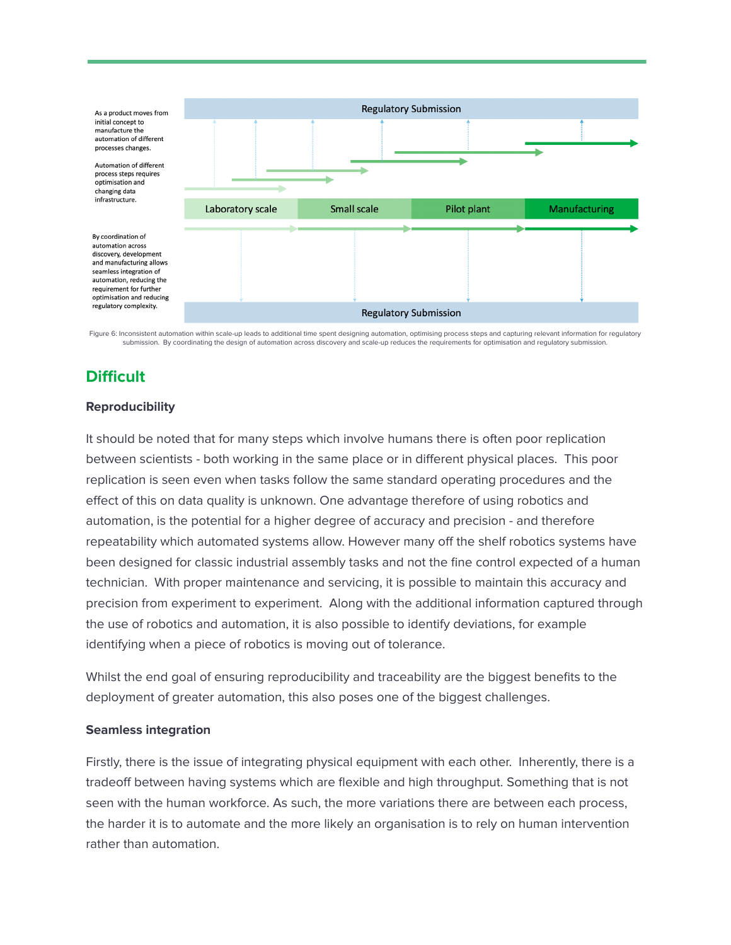

Figure 6: Inconsistent automation within scale-up leads to additional time spent designing automation, optimising process steps and capturing relevant information for regulatory submission. By coordinating the design of automation across discovery and scale-up reduces the requirements for optimisation and regulatory submission.

# **Difficult**

#### **Reproducibility**

It should be noted that for many steps which involve humans there is often poor replication between scientists - both working in the same place or in different physical places. This poor replication is seen even when tasks follow the same standard operating procedures and the effect of this on data quality is unknown. One advantage therefore of using robotics and automation, is the potential for a higher degree of accuracy and precision - and therefore repeatability which automated systems allow. However many off the shelf robotics systems have been designed for classic industrial assembly tasks and not the fine control expected of a human technician. With proper maintenance and servicing, it is possible to maintain this accuracy and precision from experiment to experiment. Along with the additional information captured through the use of robotics and automation, it is also possible to identify deviations, for example identifying when a piece of robotics is moving out of tolerance.

Whilst the end goal of ensuring reproducibility and traceability are the biggest benefits to the deployment of greater automation, this also poses one of the biggest challenges.

#### **Seamless integration**

Firstly, there is the issue of integrating physical equipment with each other. Inherently, there is a tradeoff between having systems which are flexible and high throughput. Something that is not seen with the human workforce. As such, the more variations there are between each process, the harder it is to automate and the more likely an organisation is to rely on human intervention rather than automation.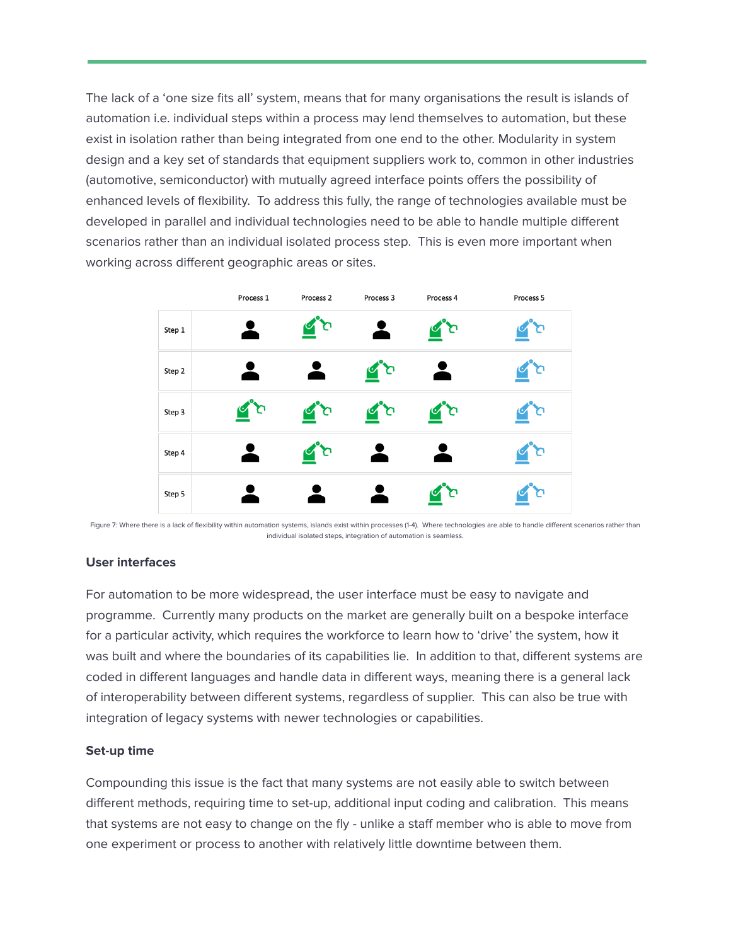The lack of a 'one size fits all' system, means that for many organisations the result is islands of automation i.e. individual steps within a process may lend themselves to automation, but these exist in isolation rather than being integrated from one end to the other. Modularity in system design and a key set of standards that equipment suppliers work to, common in other industries (automotive, semiconductor) with mutually agreed interface points offers the possibility of enhanced levels of flexibility. To address this fully, the range of technologies available must be developed in parallel and individual technologies need to be able to handle multiple different scenarios rather than an individual isolated process step. This is even more important when working across different geographic areas or sites.



Figure 7: Where there is a lack of flexibility within automation systems, islands exist within processes (1-4). Where technologies are able to handle different scenarios rather than individual isolated steps, integration of automation is seamless.

#### **User interfaces**

For automation to be more widespread, the user interface must be easy to navigate and programme. Currently many products on the market are generally built on a bespoke interface for a particular activity, which requires the workforce to learn how to 'drive' the system, how it was built and where the boundaries of its capabilities lie. In addition to that, different systems are coded in different languages and handle data in different ways, meaning there is a general lack of interoperability between different systems, regardless of supplier. This can also be true with integration of legacy systems with newer technologies or capabilities.

#### **Set-up time**

Compounding this issue is the fact that many systems are not easily able to switch between different methods, requiring time to set-up, additional input coding and calibration. This means that systems are not easy to change on the fly - unlike a staff member who is able to move from one experiment or process to another with relatively little downtime between them.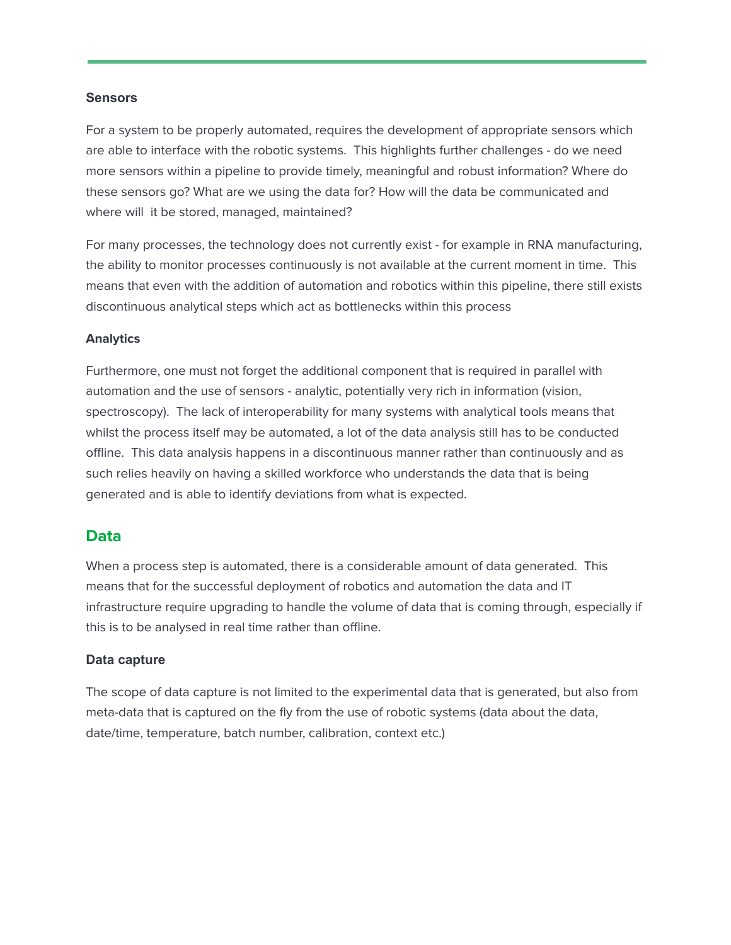#### **Sensors**

For a system to be properly automated, requires the development of appropriate sensors which are able to interface with the robotic systems. This highlights further challenges - do we need more sensors within a pipeline to provide timely, meaningful and robust information? Where do these sensors go? What are we using the data for? How will the data be communicated and where will it be stored, managed, maintained?

For many processes, the technology does not currently exist - for example in RNA manufacturing, the ability to monitor processes continuously is not available at the current moment in time. This means that even with the addition of automation and robotics within this pipeline, there still exists discontinuous analytical steps which act as bottlenecks within this process

#### **Analytics**

Furthermore, one must not forget the additional component that is required in parallel with automation and the use of sensors - analytic, potentially very rich in information (vision, spectroscopy). The lack of interoperability for many systems with analytical tools means that whilst the process itself may be automated, a lot of the data analysis still has to be conducted offline. This data analysis happens in a discontinuous manner rather than continuously and as such relies heavily on having a skilled workforce who understands the data that is being generated and is able to identify deviations from what is expected.

### **Data**

When a process step is automated, there is a considerable amount of data generated. This means that for the successful deployment of robotics and automation the data and IT infrastructure require upgrading to handle the volume of data that is coming through, especially if this is to be analysed in real time rather than offline.

#### **Data capture**

The scope of data capture is not limited to the experimental data that is generated, but also from meta-data that is captured on the fly from the use of robotic systems (data about the data, date/time, temperature, batch number, calibration, context etc.)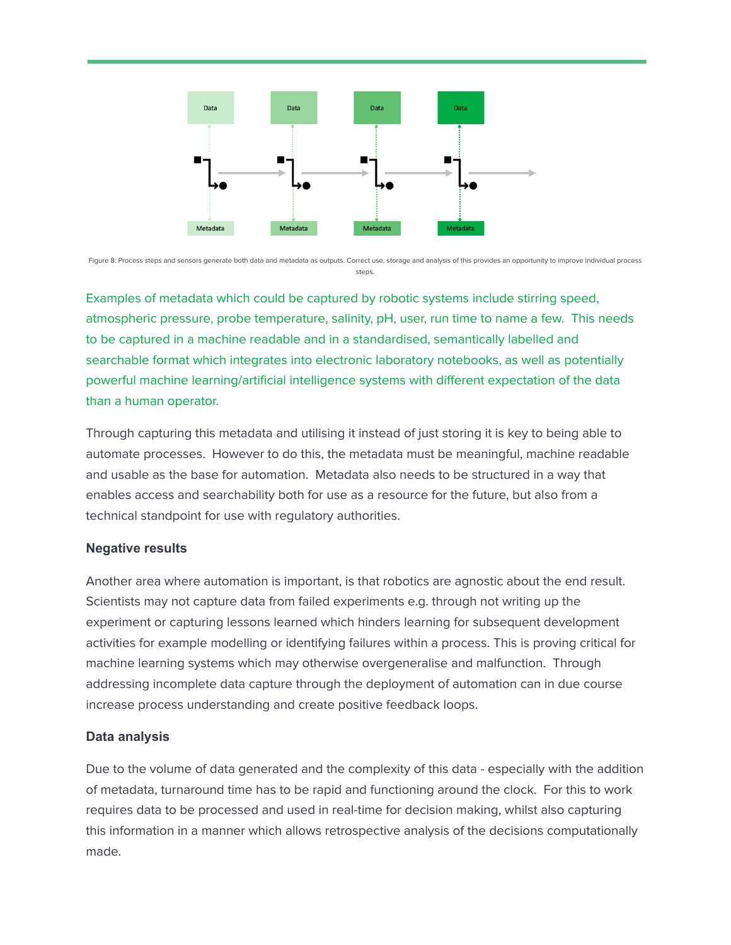

Figure 8: Process steps and sensors generate both data and metadata as outputs. Correct use, storage and analysis of this provides an opportunity to improve individual process steps.

Examples of metadata which could be captured by robotic systems include stirring speed, atmospheric pressure, probe temperature, salinity, pH, user, run time to name a few. This needs to be captured in a machine readable and in a standardised, semantically labelled and searchable format which integrates into electronic laboratory notebooks, as well as potentially powerful machine learning/artificial intelligence systems with different expectation of the data than a human operator.

Through capturing this metadata and utilising it instead of just storing it is key to being able to automate processes. However to do this, the metadata must be meaningful, machine readable and usable as the base for automation. Metadata also needs to be structured in a way that enables access and searchability both for use as a resource for the future, but also from a technical standpoint for use with regulatory authorities.

#### **Negative results**

Another area where automation is important, is that robotics are agnostic about the end result. Scientists may not capture data from failed experiments e.g. through not writing up the experiment or capturing lessons learned which hinders learning for subsequent development activities for example modelling or identifying failures within a process. This is proving critical for machine learning systems which may otherwise overgeneralise and malfunction. Through addressing incomplete data capture through the deployment of automation can in due course increase process understanding and create positive feedback loops.

#### **Data analysis**

Due to the volume of data generated and the complexity of this data - especially with the addition of metadata, turnaround time has to be rapid and functioning around the clock. For this to work requires data to be processed and used in real-time for decision making, whilst also capturing this information in a manner which allows retrospective analysis of the decisions computationally made.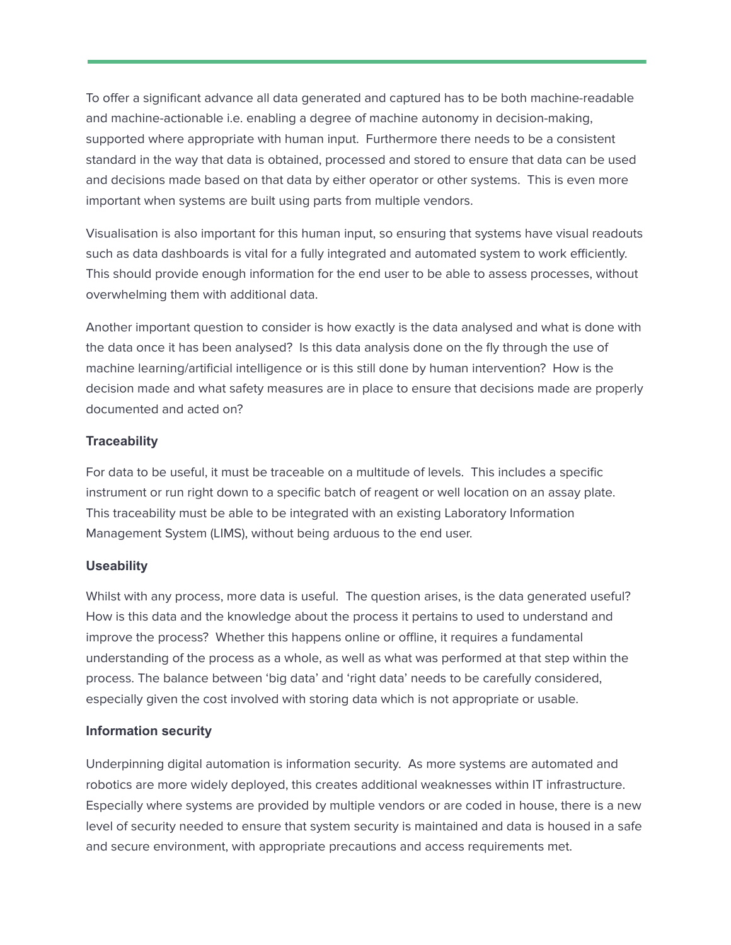To offer a significant advance all data generated and captured has to be both machine-readable and machine-actionable i.e. enabling a degree of machine autonomy in decision-making, supported where appropriate with human input. Furthermore there needs to be a consistent standard in the way that data is obtained, processed and stored to ensure that data can be used and decisions made based on that data by either operator or other systems. This is even more important when systems are built using parts from multiple vendors.

Visualisation is also important for this human input, so ensuring that systems have visual readouts such as data dashboards is vital for a fully integrated and automated system to work efficiently. This should provide enough information for the end user to be able to assess processes, without overwhelming them with additional data.

Another important question to consider is how exactly is the data analysed and what is done with the data once it has been analysed? Is this data analysis done on the fly through the use of machine learning/artificial intelligence or is this still done by human intervention? How is the decision made and what safety measures are in place to ensure that decisions made are properly documented and acted on?

#### **Traceability**

For data to be useful, it must be traceable on a multitude of levels. This includes a specific instrument or run right down to a specific batch of reagent or well location on an assay plate. This traceability must be able to be integrated with an existing Laboratory Information Management System (LIMS), without being arduous to the end user.

#### **Useability**

Whilst with any process, more data is useful. The question arises, is the data generated useful? How is this data and the knowledge about the process it pertains to used to understand and improve the process? Whether this happens online or offline, it requires a fundamental understanding of the process as a whole, as well as what was performed at that step within the process. The balance between 'big data' and 'right data' needs to be carefully considered, especially given the cost involved with storing data which is not appropriate or usable.

#### **Information security**

Underpinning digital automation is information security. As more systems are automated and robotics are more widely deployed, this creates additional weaknesses within IT infrastructure. Especially where systems are provided by multiple vendors or are coded in house, there is a new level of security needed to ensure that system security is maintained and data is housed in a safe and secure environment, with appropriate precautions and access requirements met.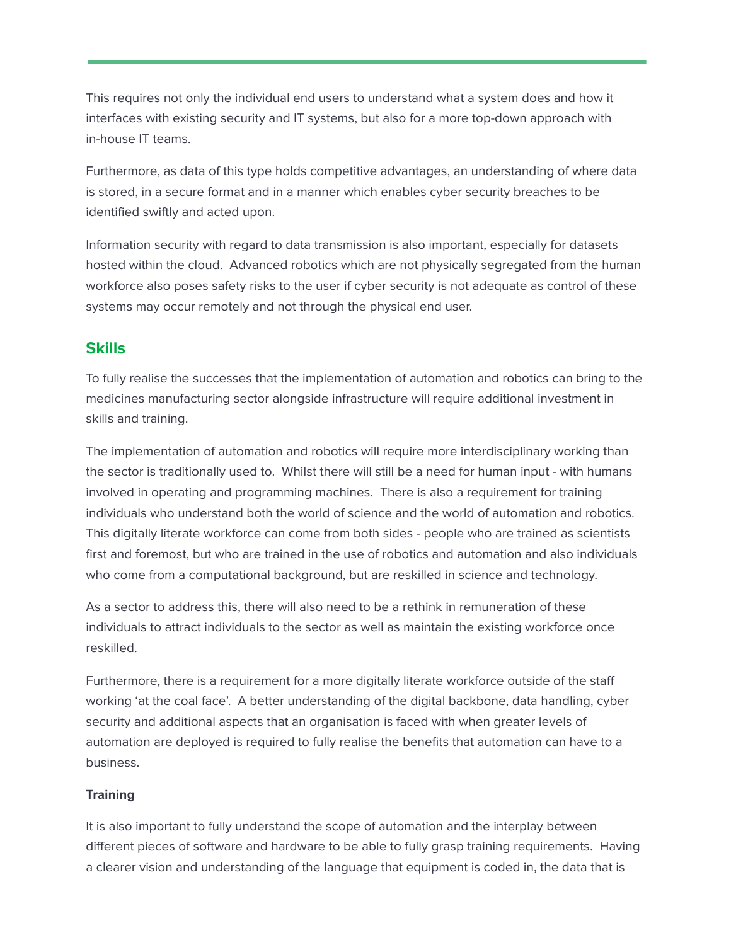This requires not only the individual end users to understand what a system does and how it interfaces with existing security and IT systems, but also for a more top-down approach with in-house IT teams.

Furthermore, as data of this type holds competitive advantages, an understanding of where data is stored, in a secure format and in a manner which enables cyber security breaches to be identified swiftly and acted upon.

Information security with regard to data transmission is also important, especially for datasets hosted within the cloud. Advanced robotics which are not physically segregated from the human workforce also poses safety risks to the user if cyber security is not adequate as control of these systems may occur remotely and not through the physical end user.

#### **Skills**

To fully realise the successes that the implementation of automation and robotics can bring to the medicines manufacturing sector alongside infrastructure will require additional investment in skills and training.

The implementation of automation and robotics will require more interdisciplinary working than the sector is traditionally used to. Whilst there will still be a need for human input - with humans involved in operating and programming machines. There is also a requirement for training individuals who understand both the world of science and the world of automation and robotics. This digitally literate workforce can come from both sides - people who are trained as scientists first and foremost, but who are trained in the use of robotics and automation and also individuals who come from a computational background, but are reskilled in science and technology.

As a sector to address this, there will also need to be a rethink in remuneration of these individuals to attract individuals to the sector as well as maintain the existing workforce once reskilled.

Furthermore, there is a requirement for a more digitally literate workforce outside of the staff working 'at the coal face'. A better understanding of the digital backbone, data handling, cyber security and additional aspects that an organisation is faced with when greater levels of automation are deployed is required to fully realise the benefits that automation can have to a business.

#### **Training**

It is also important to fully understand the scope of automation and the interplay between different pieces of software and hardware to be able to fully grasp training requirements. Having a clearer vision and understanding of the language that equipment is coded in, the data that is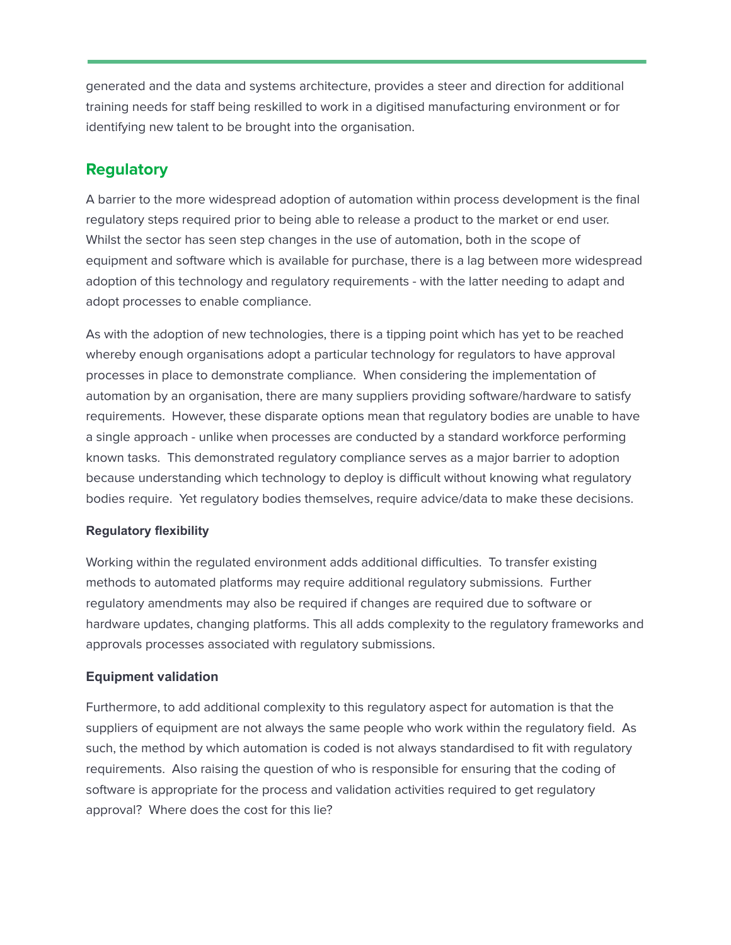generated and the data and systems architecture, provides a steer and direction for additional training needs for staff being reskilled to work in a digitised manufacturing environment or for identifying new talent to be brought into the organisation.

# **Regulatory**

A barrier to the more widespread adoption of automation within process development is the final regulatory steps required prior to being able to release a product to the market or end user. Whilst the sector has seen step changes in the use of automation, both in the scope of equipment and software which is available for purchase, there is a lag between more widespread adoption of this technology and regulatory requirements - with the latter needing to adapt and adopt processes to enable compliance.

As with the adoption of new technologies, there is a tipping point which has yet to be reached whereby enough organisations adopt a particular technology for regulators to have approval processes in place to demonstrate compliance. When considering the implementation of automation by an organisation, there are many suppliers providing software/hardware to satisfy requirements. However, these disparate options mean that regulatory bodies are unable to have a single approach - unlike when processes are conducted by a standard workforce performing known tasks. This demonstrated regulatory compliance serves as a major barrier to adoption because understanding which technology to deploy is difficult without knowing what regulatory bodies require. Yet regulatory bodies themselves, require advice/data to make these decisions.

### **Regulatory flexibility**

Working within the regulated environment adds additional difficulties. To transfer existing methods to automated platforms may require additional regulatory submissions. Further regulatory amendments may also be required if changes are required due to software or hardware updates, changing platforms. This all adds complexity to the regulatory frameworks and approvals processes associated with regulatory submissions.

### **Equipment validation**

Furthermore, to add additional complexity to this regulatory aspect for automation is that the suppliers of equipment are not always the same people who work within the regulatory field. As such, the method by which automation is coded is not always standardised to fit with regulatory requirements. Also raising the question of who is responsible for ensuring that the coding of software is appropriate for the process and validation activities required to get regulatory approval? Where does the cost for this lie?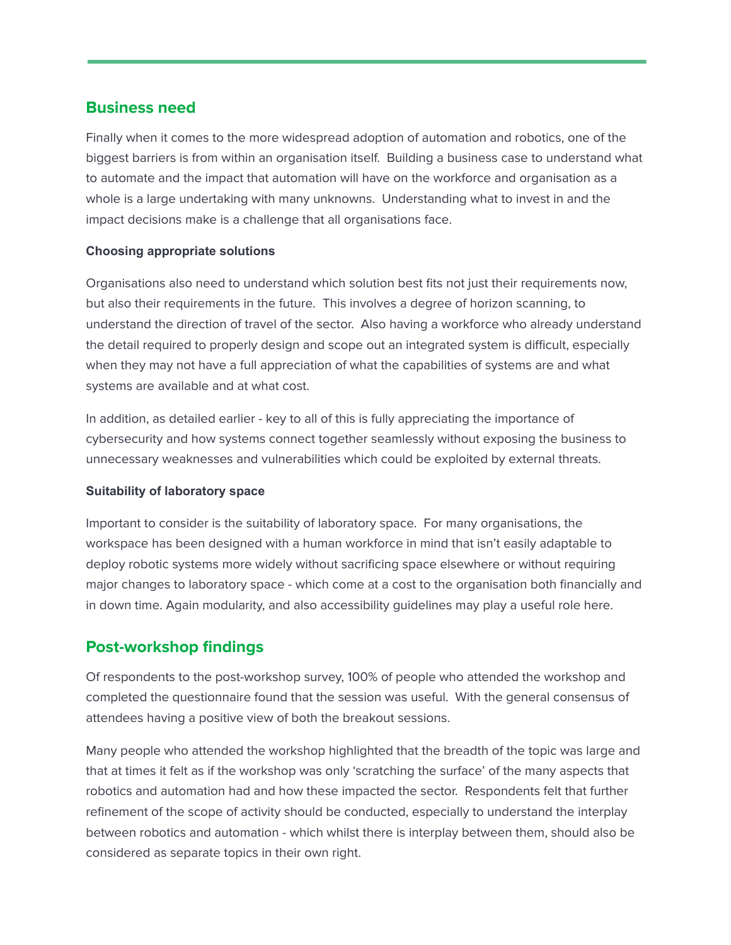# **Business need**

Finally when it comes to the more widespread adoption of automation and robotics, one of the biggest barriers is from within an organisation itself. Building a business case to understand what to automate and the impact that automation will have on the workforce and organisation as a whole is a large undertaking with many unknowns. Understanding what to invest in and the impact decisions make is a challenge that all organisations face.

#### **Choosing appropriate solutions**

Organisations also need to understand which solution best fits not just their requirements now, but also their requirements in the future. This involves a degree of horizon scanning, to understand the direction of travel of the sector. Also having a workforce who already understand the detail required to properly design and scope out an integrated system is difficult, especially when they may not have a full appreciation of what the capabilities of systems are and what systems are available and at what cost.

In addition, as detailed earlier - key to all of this is fully appreciating the importance of cybersecurity and how systems connect together seamlessly without exposing the business to unnecessary weaknesses and vulnerabilities which could be exploited by external threats.

#### **Suitability of laboratory space**

Important to consider is the suitability of laboratory space. For many organisations, the workspace has been designed with a human workforce in mind that isn't easily adaptable to deploy robotic systems more widely without sacrificing space elsewhere or without requiring major changes to laboratory space - which come at a cost to the organisation both financially and in down time. Again modularity, and also accessibility guidelines may play a useful role here.

# **Post-workshop findings**

Of respondents to the post-workshop survey, 100% of people who attended the workshop and completed the questionnaire found that the session was useful. With the general consensus of attendees having a positive view of both the breakout sessions.

Many people who attended the workshop highlighted that the breadth of the topic was large and that at times it felt as if the workshop was only 'scratching the surface' of the many aspects that robotics and automation had and how these impacted the sector. Respondents felt that further refinement of the scope of activity should be conducted, especially to understand the interplay between robotics and automation - which whilst there is interplay between them, should also be considered as separate topics in their own right.